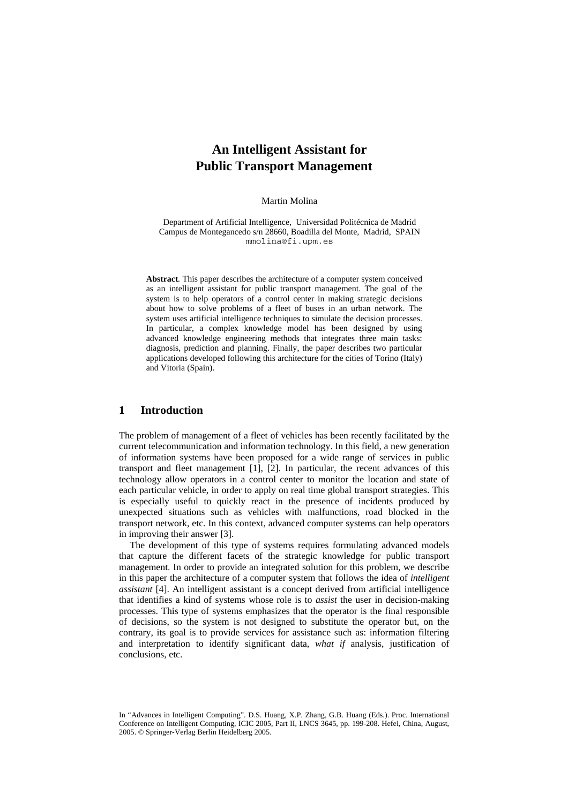# **An Intelligent Assistant for Public Transport Management**

Martin Molina

Department of Artificial Intelligence, Universidad Politécnica de Madrid Campus de Montegancedo s/n 28660, Boadilla del Monte, Madrid, SPAIN mmolina@fi.upm.es

**Abstract***.* This paper describes the architecture of a computer system conceived as an intelligent assistant for public transport management. The goal of the system is to help operators of a control center in making strategic decisions about how to solve problems of a fleet of buses in an urban network. The system uses artificial intelligence techniques to simulate the decision processes. In particular, a complex knowledge model has been designed by using advanced knowledge engineering methods that integrates three main tasks: diagnosis, prediction and planning. Finally, the paper describes two particular applications developed following this architecture for the cities of Torino (Italy) and Vitoria (Spain).

#### **1 Introduction**

The problem of management of a fleet of vehicles has been recently facilitated by the current telecommunication and information technology. In this field, a new generation of information systems have been proposed for a wide range of services in public transport and fleet management [1], [2]. In particular, the recent advances of this technology allow operators in a control center to monitor the location and state of each particular vehicle, in order to apply on real time global transport strategies. This is especially useful to quickly react in the presence of incidents produced by unexpected situations such as vehicles with malfunctions, road blocked in the transport network, etc. In this context, advanced computer systems can help operators in improving their answer [3].

The development of this type of systems requires formulating advanced models that capture the different facets of the strategic knowledge for public transport management. In order to provide an integrated solution for this problem, we describe in this paper the architecture of a computer system that follows the idea of *intelligent assistant* [4]. An intelligent assistant is a concept derived from artificial intelligence that identifies a kind of systems whose role is to *assist* the user in decision-making processes. This type of systems emphasizes that the operator is the final responsible of decisions, so the system is not designed to substitute the operator but, on the contrary, its goal is to provide services for assistance such as: information filtering and interpretation to identify significant data, *what if* analysis, justification of conclusions, etc.

In "Advances in Intelligent Computing". D.S. Huang, X.P. Zhang, G.B. Huang (Eds.). Proc. International Conference on Intelligent Computing, ICIC 2005, Part II, LNCS 3645, pp. 199-208. Hefei, China, August, 2005. © Springer-Verlag Berlin Heidelberg 2005.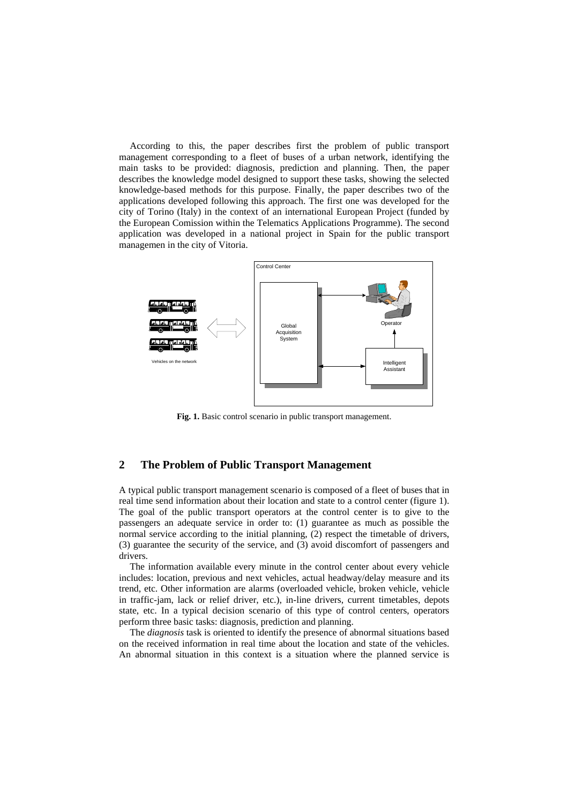According to this, the paper describes first the problem of public transport management corresponding to a fleet of buses of a urban network, identifying the main tasks to be provided: diagnosis, prediction and planning. Then, the paper describes the knowledge model designed to support these tasks, showing the selected knowledge-based methods for this purpose. Finally, the paper describes two of the applications developed following this approach. The first one was developed for the city of Torino (Italy) in the context of an international European Project (funded by the European Comission within the Telematics Applications Programme). The second application was developed in a national project in Spain for the public transport managemen in the city of Vitoria.



**Fig. 1.** Basic control scenario in public transport management.

## **2 The Problem of Public Transport Management**

A typical public transport management scenario is composed of a fleet of buses that in real time send information about their location and state to a control center (figure 1). The goal of the public transport operators at the control center is to give to the passengers an adequate service in order to: (1) guarantee as much as possible the normal service according to the initial planning, (2) respect the timetable of drivers, (3) guarantee the security of the service, and (3) avoid discomfort of passengers and drivers.

The information available every minute in the control center about every vehicle includes: location, previous and next vehicles, actual headway/delay measure and its trend, etc. Other information are alarms (overloaded vehicle, broken vehicle, vehicle in traffic-jam, lack or relief driver, etc.), in-line drivers, current timetables, depots state, etc. In a typical decision scenario of this type of control centers, operators perform three basic tasks: diagnosis, prediction and planning.

The *diagnosis* task is oriented to identify the presence of abnormal situations based on the received information in real time about the location and state of the vehicles. An abnormal situation in this context is a situation where the planned service is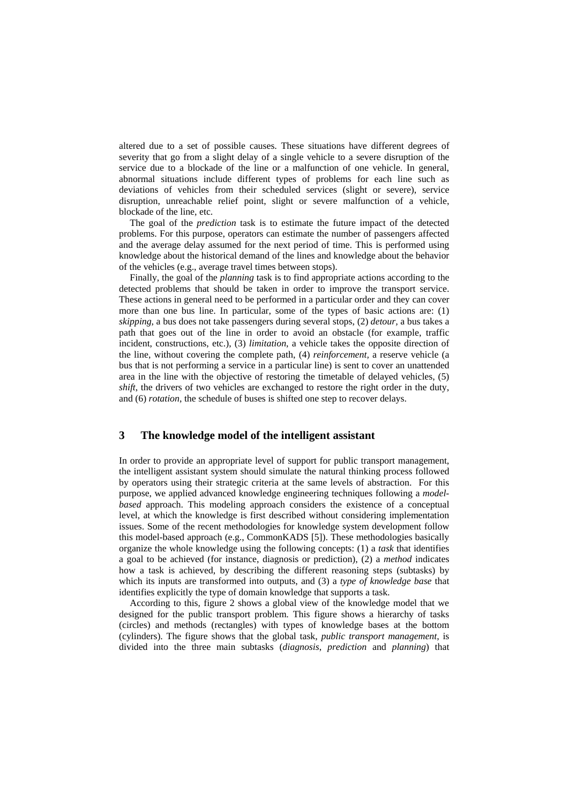altered due to a set of possible causes. These situations have different degrees of severity that go from a slight delay of a single vehicle to a severe disruption of the service due to a blockade of the line or a malfunction of one vehicle. In general, abnormal situations include different types of problems for each line such as deviations of vehicles from their scheduled services (slight or severe), service disruption, unreachable relief point, slight or severe malfunction of a vehicle, blockade of the line, etc.

The goal of the *prediction* task is to estimate the future impact of the detected problems. For this purpose, operators can estimate the number of passengers affected and the average delay assumed for the next period of time. This is performed using knowledge about the historical demand of the lines and knowledge about the behavior of the vehicles (e.g., average travel times between stops).

Finally, the goal of the *planning* task is to find appropriate actions according to the detected problems that should be taken in order to improve the transport service. These actions in general need to be performed in a particular order and they can cover more than one bus line. In particular, some of the types of basic actions are: (1) *skipping*, a bus does not take passengers during several stops, (2) *detour,* a bus takes a path that goes out of the line in order to avoid an obstacle (for example, traffic incident, constructions, etc.), (3) *limitation*, a vehicle takes the opposite direction of the line, without covering the complete path, (4) *reinforcement,* a reserve vehicle (a bus that is not performing a service in a particular line) is sent to cover an unattended area in the line with the objective of restoring the timetable of delayed vehicles, (5) *shift*, the drivers of two vehicles are exchanged to restore the right order in the duty, and (6) *rotation*, the schedule of buses is shifted one step to recover delays.

## **3 The knowledge model of the intelligent assistant**

In order to provide an appropriate level of support for public transport management, the intelligent assistant system should simulate the natural thinking process followed by operators using their strategic criteria at the same levels of abstraction. For this purpose, we applied advanced knowledge engineering techniques following a *modelbased* approach. This modeling approach considers the existence of a conceptual level, at which the knowledge is first described without considering implementation issues. Some of the recent methodologies for knowledge system development follow this model-based approach (e.g., CommonKADS [5]). These methodologies basically organize the whole knowledge using the following concepts: (1) a *task* that identifies a goal to be achieved (for instance, diagnosis or prediction), (2) a *method* indicates how a task is achieved, by describing the different reasoning steps (subtasks) by which its inputs are transformed into outputs, and (3) a *type of knowledge base* that identifies explicitly the type of domain knowledge that supports a task.

According to this, figure 2 shows a global view of the knowledge model that we designed for the public transport problem. This figure shows a hierarchy of tasks (circles) and methods (rectangles) with types of knowledge bases at the bottom (cylinders). The figure shows that the global task, *public transport management*, is divided into the three main subtasks (*diagnosis*, *prediction* and *planning*) that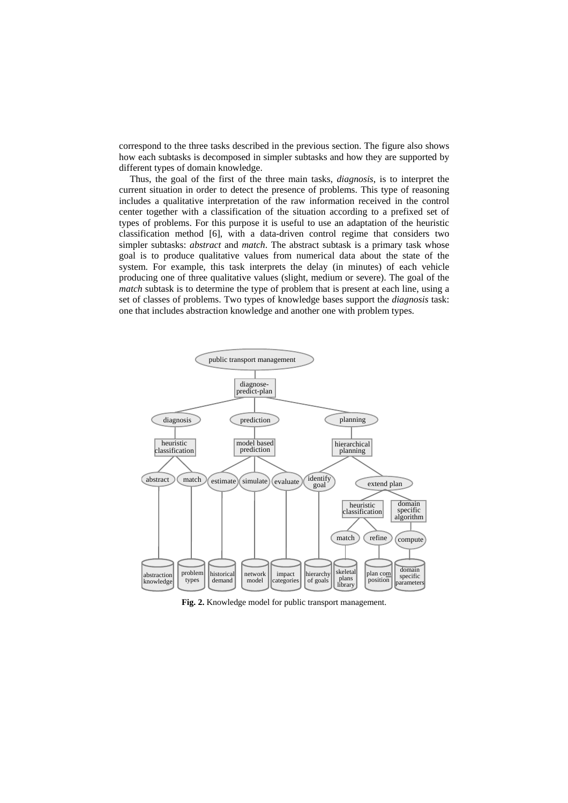correspond to the three tasks described in the previous section. The figure also shows how each subtasks is decomposed in simpler subtasks and how they are supported by different types of domain knowledge.

Thus, the goal of the first of the three main tasks, *diagnosis*, is to interpret the current situation in order to detect the presence of problems. This type of reasoning includes a qualitative interpretation of the raw information received in the control center together with a classification of the situation according to a prefixed set of types of problems. For this purpose it is useful to use an adaptation of the heuristic classification method [6], with a data-driven control regime that considers two simpler subtasks: *abstract* and *match*. The abstract subtask is a primary task whose goal is to produce qualitative values from numerical data about the state of the system. For example, this task interprets the delay (in minutes) of each vehicle producing one of three qualitative values (slight, medium or severe). The goal of the *match* subtask is to determine the type of problem that is present at each line, using a set of classes of problems. Two types of knowledge bases support the *diagnosis* task: one that includes abstraction knowledge and another one with problem types.



**Fig. 2.** Knowledge model for public transport management.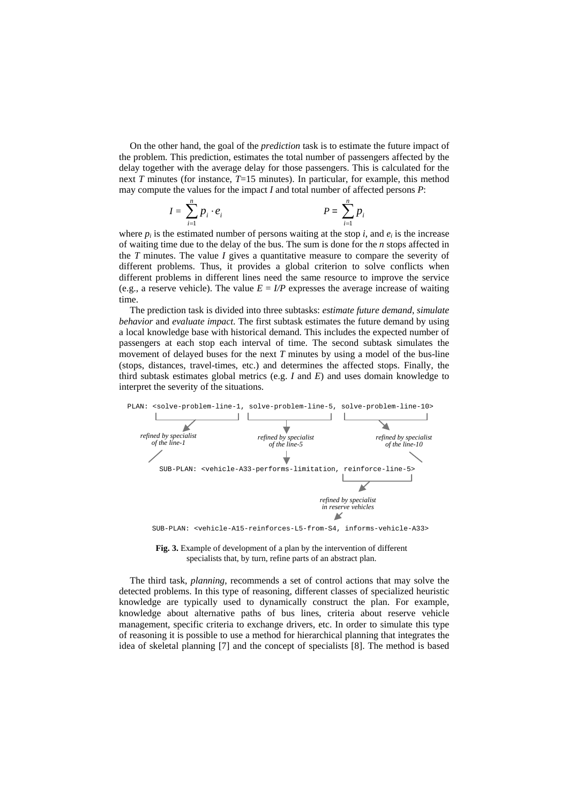On the other hand, the goal of the *prediction* task is to estimate the future impact of the problem. This prediction, estimates the total number of passengers affected by the delay together with the average delay for those passengers. This is calculated for the next *T* minutes (for instance, *T*=15 minutes). In particular, for example, this method may compute the values for the impact *I* and total number of affected persons *P*:

$$
I = \sum_{i=1}^{n} p_i \cdot e_i \qquad P = \sum_{i=1}^{n} p_i
$$

where  $p_i$  is the estimated number of persons waiting at the stop  $i$ , and  $e_i$  is the increase of waiting time due to the delay of the bus. The sum is done for the *n* stops affected in the *T* minutes. The value *I* gives a quantitative measure to compare the severity of different problems. Thus, it provides a global criterion to solve conflicts when different problems in different lines need the same resource to improve the service (e.g., a reserve vehicle). The value  $E = I/P$  expresses the average increase of waiting time.

The prediction task is divided into three subtasks: *estimate future demand*, *simulate behavior* and *evaluate impact*. The first subtask estimates the future demand by using a local knowledge base with historical demand. This includes the expected number of passengers at each stop each interval of time. The second subtask simulates the movement of delayed buses for the next *T* minutes by using a model of the bus-line (stops, distances, travel-times, etc.) and determines the affected stops. Finally, the third subtask estimates global metrics (e.g. *I* and *E*) and uses domain knowledge to interpret the severity of the situations.



SUB-PLAN: <vehicle-A15-reinforces-L5-from-S4, informs-vehicle-A33>

**Fig. 3.** Example of development of a plan by the intervention of different specialists that, by turn, refine parts of an abstract plan.

The third task, *planning*, recommends a set of control actions that may solve the detected problems. In this type of reasoning, different classes of specialized heuristic knowledge are typically used to dynamically construct the plan. For example, knowledge about alternative paths of bus lines, criteria about reserve vehicle management, specific criteria to exchange drivers, etc. In order to simulate this type of reasoning it is possible to use a method for hierarchical planning that integrates the idea of skeletal planning [7] and the concept of specialists [8]. The method is based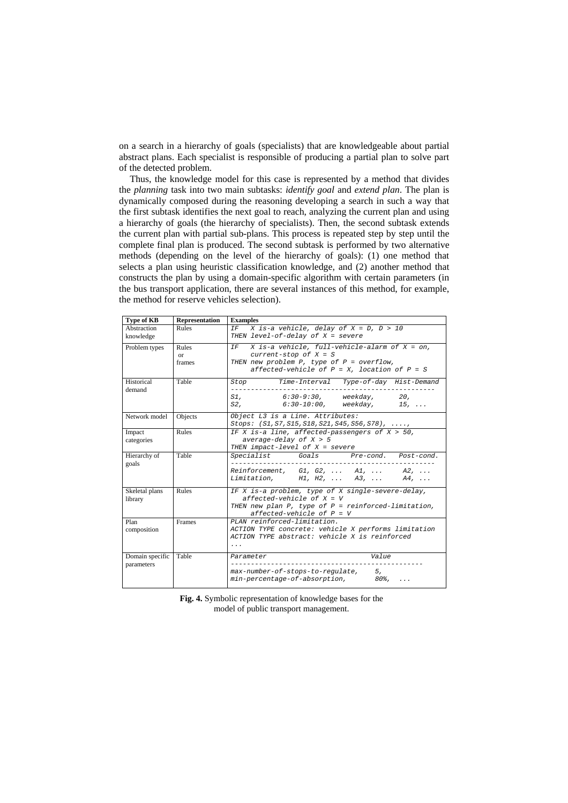on a search in a hierarchy of goals (specialists) that are knowledgeable about partial abstract plans. Each specialist is responsible of producing a partial plan to solve part of the detected problem.

Thus, the knowledge model for this case is represented by a method that divides the *planning* task into two main subtasks: *identify goal* and *extend plan*. The plan is dynamically composed during the reasoning developing a search in such a way that the first subtask identifies the next goal to reach, analyzing the current plan and using a hierarchy of goals (the hierarchy of specialists). Then, the second subtask extends the current plan with partial sub-plans. This process is repeated step by step until the complete final plan is produced. The second subtask is performed by two alternative methods (depending on the level of the hierarchy of goals): (1) one method that selects a plan using heuristic classification knowledge, and (2) another method that constructs the plan by using a domain-specific algorithm with certain parameters (in the bus transport application, there are several instances of this method, for example, the method for reserve vehicles selection).

| <b>Type of KB</b>             | <b>Representation</b>         | <b>Examples</b>                                                                                                                                                                                        |
|-------------------------------|-------------------------------|--------------------------------------------------------------------------------------------------------------------------------------------------------------------------------------------------------|
| Abstraction<br>knowledge      | <b>Rules</b>                  | X is-a vehicle, delay of $X = D$ , $D > 10$<br>IF<br>THEN level-of-delay of $X = severe$                                                                                                               |
| Problem types                 | Rules<br>$\alpha$ r<br>frames | X is-a vehicle, full-vehicle-alarm of $X = on$ ,<br>TF <sub>1</sub><br>current-stop of $X = S$<br>THEN new problem $P$ , type of $P = overflow$ ,<br>affected-vehicle of $P = X$ , location of $P = S$ |
| Historical<br>demand          | Table                         | Stop Time-Interval Type-of-day Hist-Demand<br>6:30-9:30, weekday, 20,<br>$S1$ .<br>S2, 6:30-10:00, weekday, 15,                                                                                        |
| Network model                 | Objects                       | Object L3 is a Line. Attributes:<br>Stops: (S1,S7,S15,S18,S21,S45,S56,S78), ,                                                                                                                          |
| Impact<br>categories          | Rules                         | IF X is-a line, affected-passengers of $X > 50$ ,<br>average-delay of $X > 5$<br>THEN impact-level of $X = severe$                                                                                     |
| Hierarchy of<br>goals         | Table                         | Specialist Goals Pre-cond. Post-cond.<br>$Reinforcement, Gl, G2,  Al,  A2, $<br>Limitation, H1, H2,  A3,  A4,                                                                                          |
| Skeletal plans<br>library     | Rules                         | IF X is-a problem, type of X single-severe-delay,<br>affected-vehicle of $X = V$<br>THEN new plan P, type of $P =$ reinforced-limitation,<br>affected-vehicle of $P = V$                               |
| Plan<br>composition           | Frames                        | PLAN reinforced-limitation.<br>ACTION TYPE concrete: vehicle X performs limitation<br>ACTION TYPE abstract: vehicle X is reinforced<br>$\cdots$                                                        |
| Domain specific<br>parameters | Table                         | Value<br>Parameter<br>max-number-of-stops-to-regulate, 5,<br>min-percentage-of-absorption, 80%,                                                                                                        |

**Fig. 4.** Symbolic representation of knowledge bases for the model of public transport management.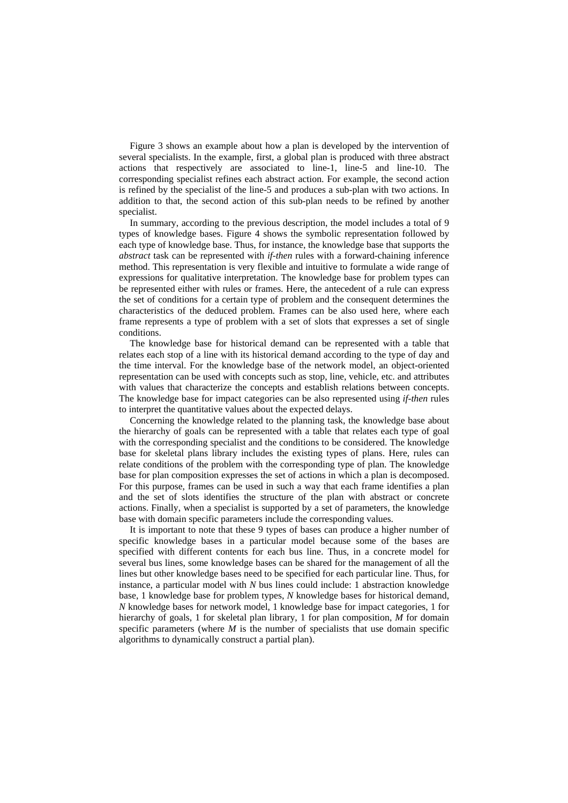Figure 3 shows an example about how a plan is developed by the intervention of several specialists. In the example, first, a global plan is produced with three abstract actions that respectively are associated to line-1, line-5 and line-10. The corresponding specialist refines each abstract action. For example, the second action is refined by the specialist of the line-5 and produces a sub-plan with two actions. In addition to that, the second action of this sub-plan needs to be refined by another specialist.

In summary, according to the previous description, the model includes a total of 9 types of knowledge bases. Figure 4 shows the symbolic representation followed by each type of knowledge base. Thus, for instance, the knowledge base that supports the *abstract* task can be represented with *if-then* rules with a forward-chaining inference method. This representation is very flexible and intuitive to formulate a wide range of expressions for qualitative interpretation. The knowledge base for problem types can be represented either with rules or frames. Here, the antecedent of a rule can express the set of conditions for a certain type of problem and the consequent determines the characteristics of the deduced problem. Frames can be also used here, where each frame represents a type of problem with a set of slots that expresses a set of single conditions.

The knowledge base for historical demand can be represented with a table that relates each stop of a line with its historical demand according to the type of day and the time interval. For the knowledge base of the network model, an object-oriented representation can be used with concepts such as stop, line, vehicle, etc. and attributes with values that characterize the concepts and establish relations between concepts. The knowledge base for impact categories can be also represented using *if-then* rules to interpret the quantitative values about the expected delays.

Concerning the knowledge related to the planning task, the knowledge base about the hierarchy of goals can be represented with a table that relates each type of goal with the corresponding specialist and the conditions to be considered. The knowledge base for skeletal plans library includes the existing types of plans. Here, rules can relate conditions of the problem with the corresponding type of plan. The knowledge base for plan composition expresses the set of actions in which a plan is decomposed. For this purpose, frames can be used in such a way that each frame identifies a plan and the set of slots identifies the structure of the plan with abstract or concrete actions. Finally, when a specialist is supported by a set of parameters, the knowledge base with domain specific parameters include the corresponding values.

It is important to note that these 9 types of bases can produce a higher number of specific knowledge bases in a particular model because some of the bases are specified with different contents for each bus line. Thus, in a concrete model for several bus lines, some knowledge bases can be shared for the management of all the lines but other knowledge bases need to be specified for each particular line. Thus, for instance, a particular model with *N* bus lines could include: 1 abstraction knowledge base, 1 knowledge base for problem types, *N* knowledge bases for historical demand, *N* knowledge bases for network model, 1 knowledge base for impact categories, 1 for hierarchy of goals, 1 for skeletal plan library, 1 for plan composition, *M* for domain specific parameters (where *M* is the number of specialists that use domain specific algorithms to dynamically construct a partial plan).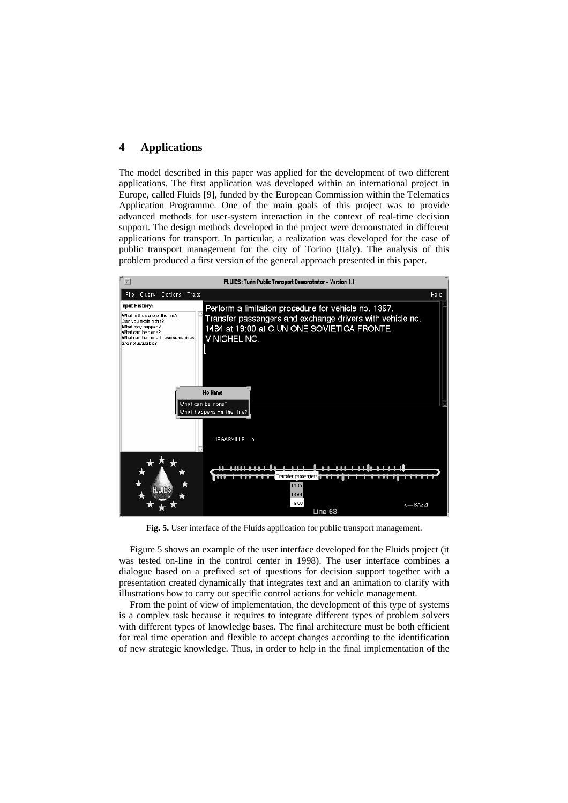### **4 Applications**

The model described in this paper was applied for the development of two different applications. The first application was developed within an international project in Europe, called Fluids [9], funded by the European Commission within the Telematics Application Programme. One of the main goals of this project was to provide advanced methods for user-system interaction in the context of real-time decision support. The design methods developed in the project were demonstrated in different applications for transport. In particular, a realization was developed for the case of public transport management for the city of Torino (Italy). The analysis of this problem produced a first version of the general approach presented in this paper.



**Fig. 5.** User interface of the Fluids application for public transport management.

Figure 5 shows an example of the user interface developed for the Fluids project (it was tested on-line in the control center in 1998). The user interface combines a dialogue based on a prefixed set of questions for decision support together with a presentation created dynamically that integrates text and an animation to clarify with illustrations how to carry out specific control actions for vehicle management.

From the point of view of implementation, the development of this type of systems is a complex task because it requires to integrate different types of problem solvers with different types of knowledge bases. The final architecture must be both efficient for real time operation and flexible to accept changes according to the identification of new strategic knowledge. Thus, in order to help in the final implementation of the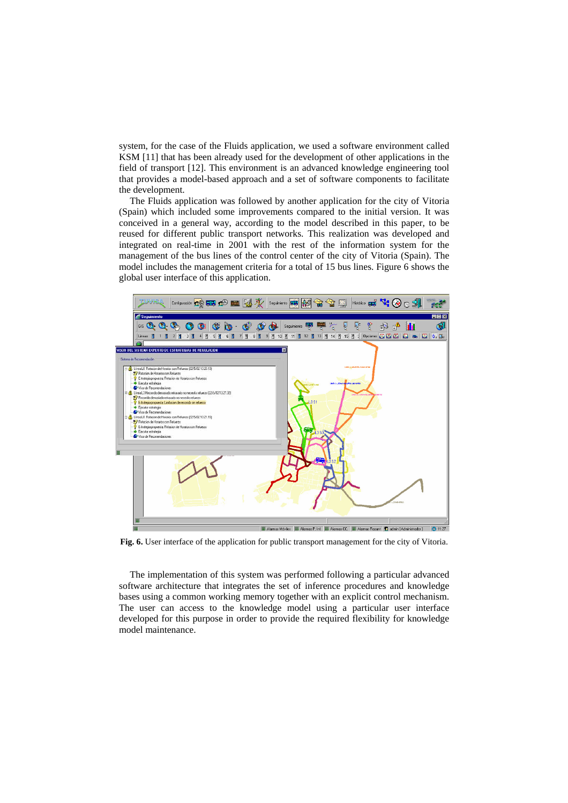system, for the case of the Fluids application, we used a software environment called KSM [11] that has been already used for the development of other applications in the field of transport [12]. This environment is an advanced knowledge engineering tool that provides a model-based approach and a set of software components to facilitate the development.

The Fluids application was followed by another application for the city of Vitoria (Spain) which included some improvements compared to the initial version. It was conceived in a general way, according to the model described in this paper, to be reused for different public transport networks. This realization was developed and integrated on real-time in 2001 with the rest of the information system for the management of the bus lines of the control center of the city of Vitoria (Spain). The model includes the management criteria for a total of 15 bus lines. Figure 6 shows the global user interface of this application.



**Fig. 6.** User interface of the application for public transport management for the city of Vitoria.

The implementation of this system was performed following a particular advanced software architecture that integrates the set of inference procedures and knowledge bases using a common working memory together with an explicit control mechanism. The user can access to the knowledge model using a particular user interface developed for this purpose in order to provide the required flexibility for knowledge model maintenance.